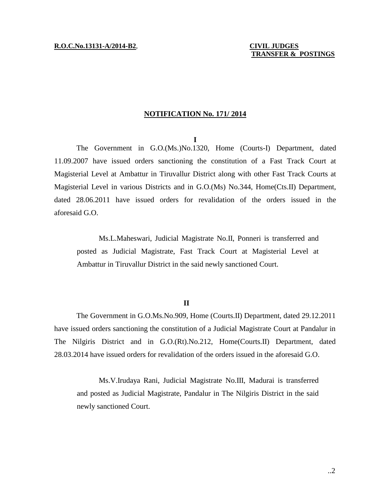## **NOTIFICATION No. 171/ 2014**

#### **I**

The Government in G.O.(Ms.)No.1320, Home (Courts-I) Department, dated 11.09.2007 have issued orders sanctioning the constitution of a Fast Track Court at Magisterial Level at Ambattur in Tiruvallur District along with other Fast Track Courts at Magisterial Level in various Districts and in G.O.(Ms) No.344, Home(Cts.II) Department, dated 28.06.2011 have issued orders for revalidation of the orders issued in the aforesaid G.O.

Ms.L.Maheswari, Judicial Magistrate No.II, Ponneri is transferred and posted as Judicial Magistrate, Fast Track Court at Magisterial Level at Ambattur in Tiruvallur District in the said newly sanctioned Court.

## **II**

The Government in G.O.Ms.No.909, Home (Courts.II) Department, dated 29.12.2011 have issued orders sanctioning the constitution of a Judicial Magistrate Court at Pandalur in The Nilgiris District and in G.O.(Rt).No.212, Home(Courts.II) Department, dated 28.03.2014 have issued orders for revalidation of the orders issued in the aforesaid G.O.

Ms.V.Irudaya Rani, Judicial Magistrate No.III, Madurai is transferred and posted as Judicial Magistrate, Pandalur in The Nilgiris District in the said newly sanctioned Court.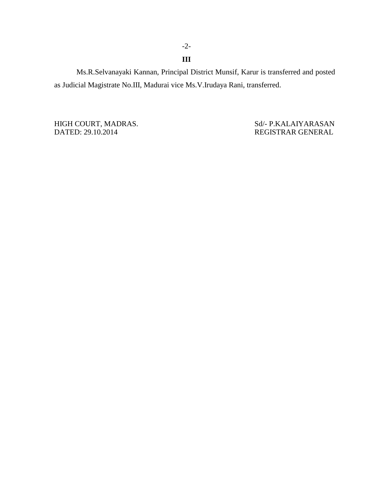Ms.R.Selvanayaki Kannan, Principal District Munsif, Karur is transferred and posted as Judicial Magistrate No.III, Madurai vice Ms.V.Irudaya Rani, transferred.

DATED: 29.10.2014 REGISTRAR GENERAL

HIGH COURT, MADRAS. Sd/- P.KALAIYARASAN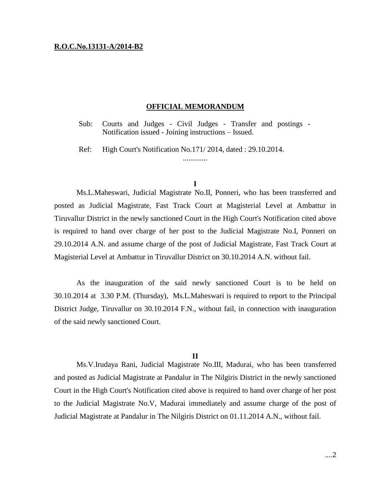### **R.O.C.No.13131-A/2014-B2**

#### **OFFICIAL MEMORANDUM**

Sub: Courts and Judges - Civil Judges - Transfer and postings - Notification issued - Joining instructions – Issued.

Ref: High Court's Notification No.171/ 2014, dated : 29.10.2014.

# **I**

.............

Ms.L.Maheswari, Judicial Magistrate No.II, Ponneri, who has been transferred and posted as Judicial Magistrate, Fast Track Court at Magisterial Level at Ambattur in Tiruvallur District in the newly sanctioned Court in the High Court's Notification cited above is required to hand over charge of her post to the Judicial Magistrate No.I, Ponneri on 29.10.2014 A.N. and assume charge of the post of Judicial Magistrate, Fast Track Court at Magisterial Level at Ambattur in Tiruvallur District on 30.10.2014 A.N. without fail.

As the inauguration of the said newly sanctioned Court is to be held on 30.10.2014 at 3.30 P.M. (Thursday), Ms.L.Maheswari is required to report to the Principal District Judge, Tiruvallur on 30.10.2014 F.N., without fail, in connection with inauguration of the said newly sanctioned Court.

## **II**

Ms.V.Irudaya Rani, Judicial Magistrate No.III, Madurai, who has been transferred and posted as Judicial Magistrate at Pandalur in The Nilgiris District in the newly sanctioned Court in the High Court's Notification cited above is required to hand over charge of her post to the Judicial Magistrate No.V, Madurai immediately and assume charge of the post of Judicial Magistrate at Pandalur in The Nilgiris District on 01.11.2014 A.N., without fail.